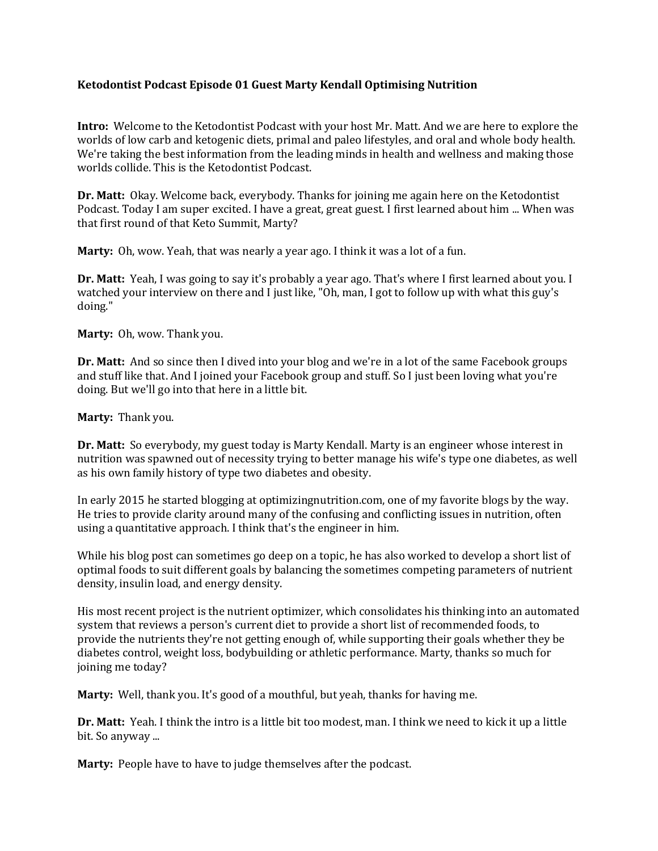## **Ketodontist Podcast Episode 01 Guest Marty Kendall Optimising Nutrition**

**Intro:** Welcome to the Ketodontist Podcast with your host Mr. Matt. And we are here to explore the worlds of low carb and ketogenic diets, primal and paleo lifestyles, and oral and whole body health. We're taking the best information from the leading minds in health and wellness and making those worlds collide. This is the Ketodontist Podcast.

**Dr. Matt:** Okay. Welcome back, everybody. Thanks for joining me again here on the Ketodontist Podcast. Today I am super excited. I have a great, great guest. I first learned about him ... When was that first round of that Keto Summit, Marty?

**Marty:** Oh, wow. Yeah, that was nearly a year ago. I think it was a lot of a fun.

**Dr. Matt:** Yeah, I was going to say it's probably a year ago. That's where I first learned about you. I watched your interview on there and I just like, "Oh, man, I got to follow up with what this guy's doing."

**Marty:** Oh, wow. Thank you.

**Dr. Matt:** And so since then I dived into your blog and we're in a lot of the same Facebook groups and stuff like that. And I joined your Facebook group and stuff. So I just been loving what you're doing. But we'll go into that here in a little bit.

**Marty:** Thank you.

**Dr. Matt:** So everybody, my guest today is Marty Kendall. Marty is an engineer whose interest in nutrition was spawned out of necessity trying to better manage his wife's type one diabetes, as well as his own family history of type two diabetes and obesity.

In early 2015 he started blogging at optimizingnutrition.com, one of my favorite blogs by the way. He tries to provide clarity around many of the confusing and conflicting issues in nutrition, often using a quantitative approach. I think that's the engineer in him.

While his blog post can sometimes go deep on a topic, he has also worked to develop a short list of optimal foods to suit different goals by balancing the sometimes competing parameters of nutrient density, insulin load, and energy density.

His most recent project is the nutrient optimizer, which consolidates his thinking into an automated system that reviews a person's current diet to provide a short list of recommended foods, to provide the nutrients they're not getting enough of, while supporting their goals whether they be diabetes control, weight loss, bodybuilding or athletic performance. Marty, thanks so much for joining me today?

**Marty:** Well, thank you. It's good of a mouthful, but yeah, thanks for having me.

**Dr. Matt:** Yeah. I think the intro is a little bit too modest, man. I think we need to kick it up a little bit. So anyway ...

**Marty:** People have to have to judge themselves after the podcast.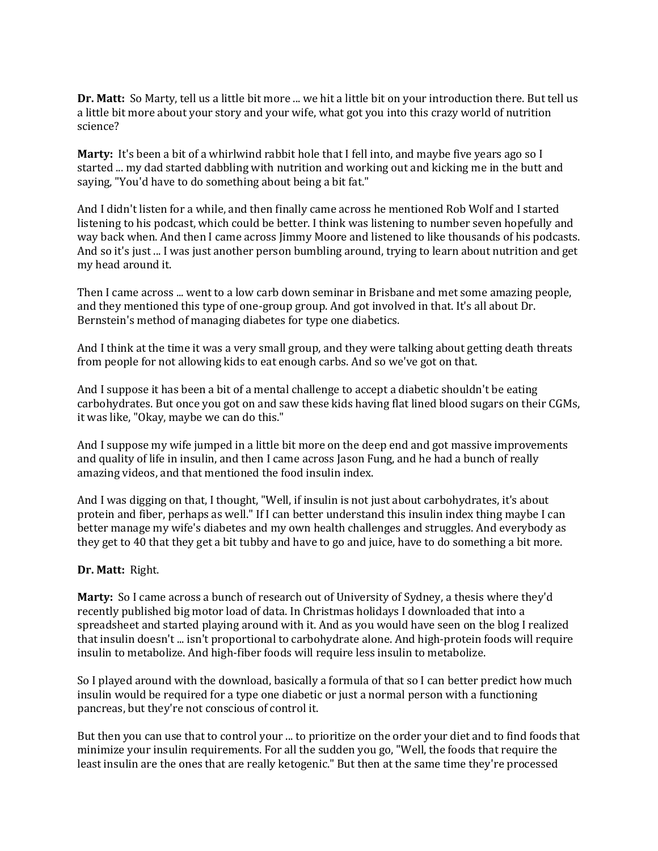**Dr. Matt:** So Marty, tell us a little bit more ... we hit a little bit on your introduction there. But tell us a little bit more about your story and your wife, what got you into this crazy world of nutrition science?

**Marty:** It's been a bit of a whirlwind rabbit hole that I fell into, and maybe five years ago so I started ... my dad started dabbling with nutrition and working out and kicking me in the butt and saying, "You'd have to do something about being a bit fat."

And I didn't listen for a while, and then finally came across he mentioned Rob Wolf and I started listening to his podcast, which could be better. I think was listening to number seven hopefully and way back when. And then I came across Jimmy Moore and listened to like thousands of his podcasts. And so it's just ... I was just another person bumbling around, trying to learn about nutrition and get my head around it.

Then I came across ... went to a low carb down seminar in Brisbane and met some amazing people, and they mentioned this type of one-group group. And got involved in that. It's all about Dr. Bernstein's method of managing diabetes for type one diabetics.

And I think at the time it was a very small group, and they were talking about getting death threats from people for not allowing kids to eat enough carbs. And so we've got on that.

And I suppose it has been a bit of a mental challenge to accept a diabetic shouldn't be eating carbohydrates. But once you got on and saw these kids having flat lined blood sugars on their CGMs, it was like, "Okay, maybe we can do this."

And I suppose my wife jumped in a little bit more on the deep end and got massive improvements and quality of life in insulin, and then I came across Jason Fung, and he had a bunch of really amazing videos, and that mentioned the food insulin index.

And I was digging on that, I thought, "Well, if insulin is not just about carbohydrates, it's about protein and fiber, perhaps as well." If I can better understand this insulin index thing maybe I can better manage my wife's diabetes and my own health challenges and struggles. And everybody as they get to 40 that they get a bit tubby and have to go and juice, have to do something a bit more.

#### **Dr. Matt:** Right.

**Marty:** So I came across a bunch of research out of University of Sydney, a thesis where they'd recently published big motor load of data. In Christmas holidays I downloaded that into a spreadsheet and started playing around with it. And as you would have seen on the blog I realized that insulin doesn't ... isn't proportional to carbohydrate alone. And high-protein foods will require insulin to metabolize. And high-fiber foods will require less insulin to metabolize.

So I played around with the download, basically a formula of that so I can better predict how much insulin would be required for a type one diabetic or just a normal person with a functioning pancreas, but they're not conscious of control it.

But then you can use that to control your ... to prioritize on the order your diet and to find foods that minimize your insulin requirements. For all the sudden you go, "Well, the foods that require the least insulin are the ones that are really ketogenic." But then at the same time they're processed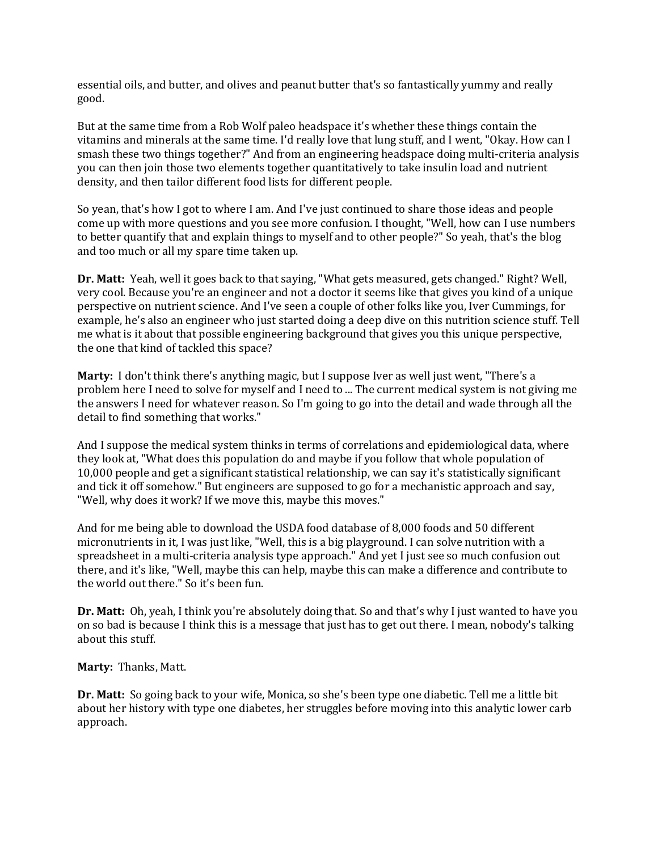essential oils, and butter, and olives and peanut butter that's so fantastically yummy and really good.

But at the same time from a Rob Wolf paleo headspace it's whether these things contain the vitamins and minerals at the same time. I'd really love that lung stuff, and I went, "Okay. How can I smash these two things together?" And from an engineering headspace doing multi-criteria analysis you can then join those two elements together quantitatively to take insulin load and nutrient density, and then tailor different food lists for different people.

So yean, that's how I got to where I am. And I've just continued to share those ideas and people come up with more questions and you see more confusion. I thought, "Well, how can I use numbers to better quantify that and explain things to myself and to other people?" So yeah, that's the blog and too much or all my spare time taken up.

**Dr. Matt:** Yeah, well it goes back to that saying, "What gets measured, gets changed." Right? Well, very cool. Because you're an engineer and not a doctor it seems like that gives you kind of a unique perspective on nutrient science. And I've seen a couple of other folks like you, Iver Cummings, for example, he's also an engineer who just started doing a deep dive on this nutrition science stuff. Tell me what is it about that possible engineering background that gives you this unique perspective, the one that kind of tackled this space?

**Marty:** I don't think there's anything magic, but I suppose Iver as well just went, "There's a problem here I need to solve for myself and I need to ... The current medical system is not giving me the answers I need for whatever reason. So I'm going to go into the detail and wade through all the detail to find something that works."

And I suppose the medical system thinks in terms of correlations and epidemiological data, where they look at, "What does this population do and maybe if you follow that whole population of 10,000 people and get a significant statistical relationship, we can say it's statistically significant and tick it off somehow." But engineers are supposed to go for a mechanistic approach and say, "Well, why does it work? If we move this, maybe this moves."

And for me being able to download the USDA food database of 8,000 foods and 50 different micronutrients in it, I was just like, "Well, this is a big playground. I can solve nutrition with a spreadsheet in a multi-criteria analysis type approach." And yet I just see so much confusion out there, and it's like, "Well, maybe this can help, maybe this can make a difference and contribute to the world out there." So it's been fun.

**Dr. Matt:** Oh, yeah, I think you're absolutely doing that. So and that's why I just wanted to have you on so bad is because I think this is a message that just has to get out there. I mean, nobody's talking about this stuff.

**Marty:** Thanks, Matt.

**Dr. Matt:** So going back to your wife, Monica, so she's been type one diabetic. Tell me a little bit about her history with type one diabetes, her struggles before moving into this analytic lower carb approach.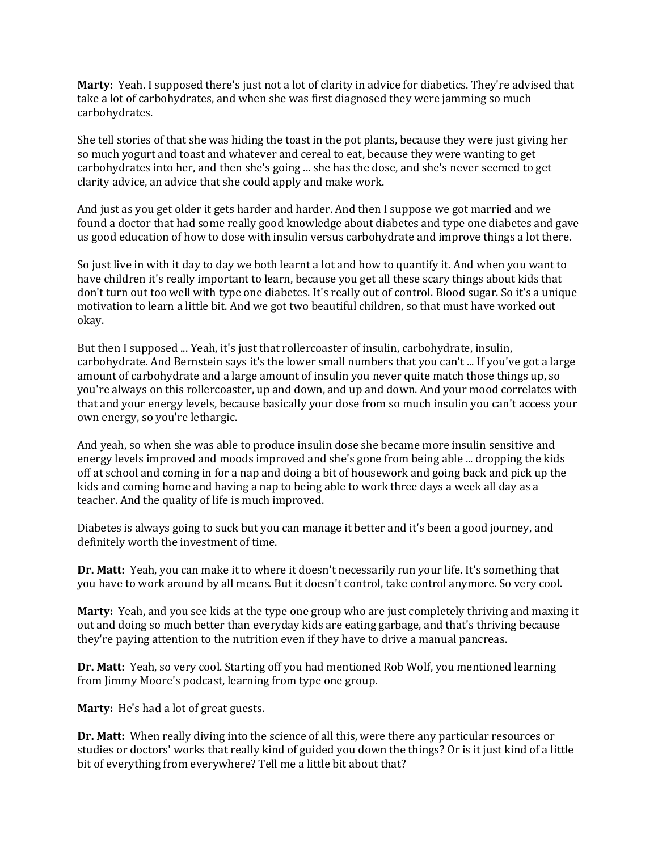**Marty:** Yeah. I supposed there's just not a lot of clarity in advice for diabetics. They're advised that take a lot of carbohydrates, and when she was first diagnosed they were jamming so much carbohydrates.

She tell stories of that she was hiding the toast in the pot plants, because they were just giving her so much yogurt and toast and whatever and cereal to eat, because they were wanting to get carbohydrates into her, and then she's going ... she has the dose, and she's never seemed to get clarity advice, an advice that she could apply and make work.

And just as you get older it gets harder and harder. And then I suppose we got married and we found a doctor that had some really good knowledge about diabetes and type one diabetes and gave us good education of how to dose with insulin versus carbohydrate and improve things a lot there.

So just live in with it day to day we both learnt a lot and how to quantify it. And when you want to have children it's really important to learn, because you get all these scary things about kids that don't turn out too well with type one diabetes. It's really out of control. Blood sugar. So it's a unique motivation to learn a little bit. And we got two beautiful children, so that must have worked out okay.

But then I supposed ... Yeah, it's just that rollercoaster of insulin, carbohydrate, insulin, carbohydrate. And Bernstein says it's the lower small numbers that you can't ... If you've got a large amount of carbohydrate and a large amount of insulin you never quite match those things up, so you're always on this rollercoaster, up and down, and up and down. And your mood correlates with that and your energy levels, because basically your dose from so much insulin you can't access your own energy, so you're lethargic.

And yeah, so when she was able to produce insulin dose she became more insulin sensitive and energy levels improved and moods improved and she's gone from being able ... dropping the kids off at school and coming in for a nap and doing a bit of housework and going back and pick up the kids and coming home and having a nap to being able to work three days a week all day as a teacher. And the quality of life is much improved.

Diabetes is always going to suck but you can manage it better and it's been a good journey, and definitely worth the investment of time.

**Dr. Matt:** Yeah, you can make it to where it doesn't necessarily run your life. It's something that you have to work around by all means. But it doesn't control, take control anymore. So very cool.

**Marty:** Yeah, and you see kids at the type one group who are just completely thriving and maxing it out and doing so much better than everyday kids are eating garbage, and that's thriving because they're paying attention to the nutrition even if they have to drive a manual pancreas.

**Dr. Matt:** Yeah, so very cool. Starting off you had mentioned Rob Wolf, you mentioned learning from Jimmy Moore's podcast, learning from type one group.

**Marty:** He's had a lot of great guests.

**Dr. Matt:** When really diving into the science of all this, were there any particular resources or studies or doctors' works that really kind of guided you down the things? Or is it just kind of a little bit of everything from everywhere? Tell me a little bit about that?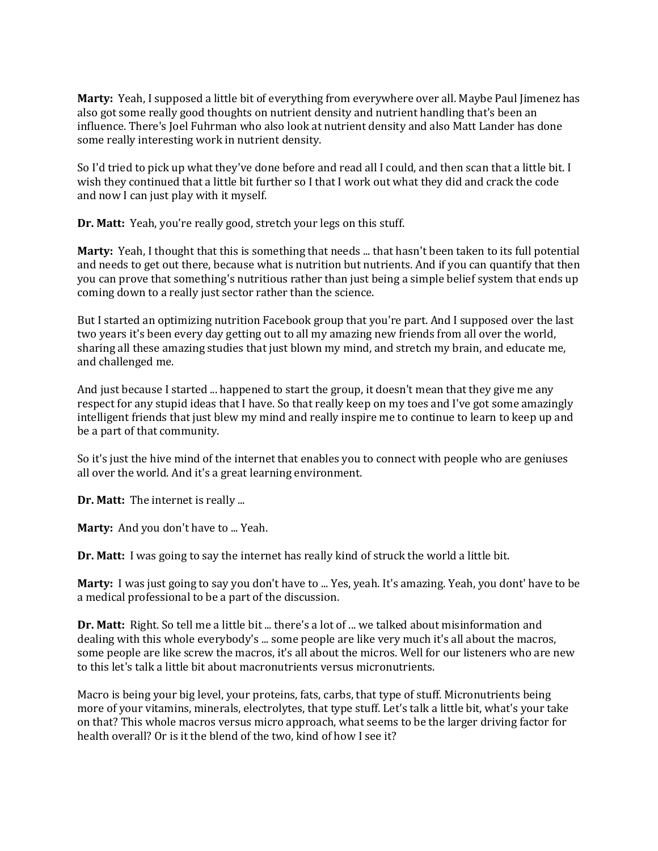**Marty:** Yeah, I supposed a little bit of everything from everywhere over all. Maybe Paul Jimenez has also got some really good thoughts on nutrient density and nutrient handling that's been an influence. There's Joel Fuhrman who also look at nutrient density and also Matt Lander has done some really interesting work in nutrient density.

So I'd tried to pick up what they've done before and read all I could, and then scan that a little bit. I wish they continued that a little bit further so I that I work out what they did and crack the code and now I can just play with it myself.

**Dr. Matt:** Yeah, you're really good, stretch your legs on this stuff.

**Marty:** Yeah, I thought that this is something that needs ... that hasn't been taken to its full potential and needs to get out there, because what is nutrition but nutrients. And if you can quantify that then you can prove that something's nutritious rather than just being a simple belief system that ends up coming down to a really just sector rather than the science.

But I started an optimizing nutrition Facebook group that you're part. And I supposed over the last two years it's been every day getting out to all my amazing new friends from all over the world, sharing all these amazing studies that just blown my mind, and stretch my brain, and educate me, and challenged me.

And just because I started ... happened to start the group, it doesn't mean that they give me any respect for any stupid ideas that I have. So that really keep on my toes and I've got some amazingly intelligent friends that just blew my mind and really inspire me to continue to learn to keep up and be a part of that community.

So it's just the hive mind of the internet that enables you to connect with people who are geniuses all over the world. And it's a great learning environment.

**Dr. Matt:** The internet is really ...

**Marty:** And you don't have to ... Yeah.

**Dr. Matt:** I was going to say the internet has really kind of struck the world a little bit.

Marty: I was just going to say you don't have to ... Yes, yeah. It's amazing. Yeah, you dont' have to be a medical professional to be a part of the discussion.

**Dr. Matt:** Right. So tell me a little bit ... there's a lot of ... we talked about misinformation and dealing with this whole everybody's ... some people are like very much it's all about the macros, some people are like screw the macros, it's all about the micros. Well for our listeners who are new to this let's talk a little bit about macronutrients versus micronutrients.

Macro is being your big level, your proteins, fats, carbs, that type of stuff. Micronutrients being more of your vitamins, minerals, electrolytes, that type stuff. Let's talk a little bit, what's your take on that? This whole macros versus micro approach, what seems to be the larger driving factor for health overall? Or is it the blend of the two, kind of how I see it?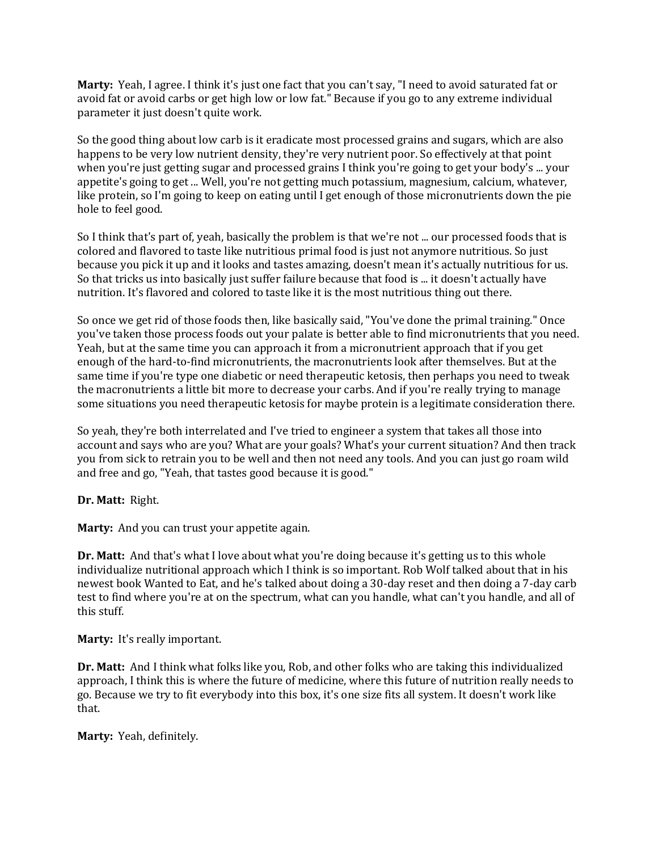**Marty:** Yeah, I agree. I think it's just one fact that you can't say, "I need to avoid saturated fat or avoid fat or avoid carbs or get high low or low fat." Because if you go to any extreme individual parameter it just doesn't quite work.

So the good thing about low carb is it eradicate most processed grains and sugars, which are also happens to be very low nutrient density, they're very nutrient poor. So effectively at that point when you're just getting sugar and processed grains I think you're going to get your body's ... your appetite's going to get ... Well, you're not getting much potassium, magnesium, calcium, whatever, like protein, so I'm going to keep on eating until I get enough of those micronutrients down the pie hole to feel good.

So I think that's part of, yeah, basically the problem is that we're not ... our processed foods that is colored and flavored to taste like nutritious primal food is just not anymore nutritious. So just because you pick it up and it looks and tastes amazing, doesn't mean it's actually nutritious for us. So that tricks us into basically just suffer failure because that food is ... it doesn't actually have nutrition. It's flavored and colored to taste like it is the most nutritious thing out there.

So once we get rid of those foods then, like basically said, "You've done the primal training." Once you've taken those process foods out your palate is better able to find micronutrients that you need. Yeah, but at the same time you can approach it from a micronutrient approach that if you get enough of the hard-to-find micronutrients, the macronutrients look after themselves. But at the same time if you're type one diabetic or need therapeutic ketosis, then perhaps you need to tweak the macronutrients a little bit more to decrease your carbs. And if you're really trying to manage some situations you need therapeutic ketosis for maybe protein is a legitimate consideration there.

So yeah, they're both interrelated and I've tried to engineer a system that takes all those into account and says who are you? What are your goals? What's your current situation? And then track you from sick to retrain you to be well and then not need any tools. And you can just go roam wild and free and go, "Yeah, that tastes good because it is good."

**Dr. Matt:** Right.

**Marty:** And you can trust your appetite again.

**Dr. Matt:** And that's what I love about what you're doing because it's getting us to this whole individualize nutritional approach which I think is so important. Rob Wolf talked about that in his newest book Wanted to Eat, and he's talked about doing a 30-day reset and then doing a 7-day carb test to find where you're at on the spectrum, what can you handle, what can't you handle, and all of this stuff.

**Marty:** It's really important.

**Dr. Matt:** And I think what folks like you, Rob, and other folks who are taking this individualized approach, I think this is where the future of medicine, where this future of nutrition really needs to go. Because we try to fit everybody into this box, it's one size fits all system. It doesn't work like that.

**Marty:** Yeah, definitely.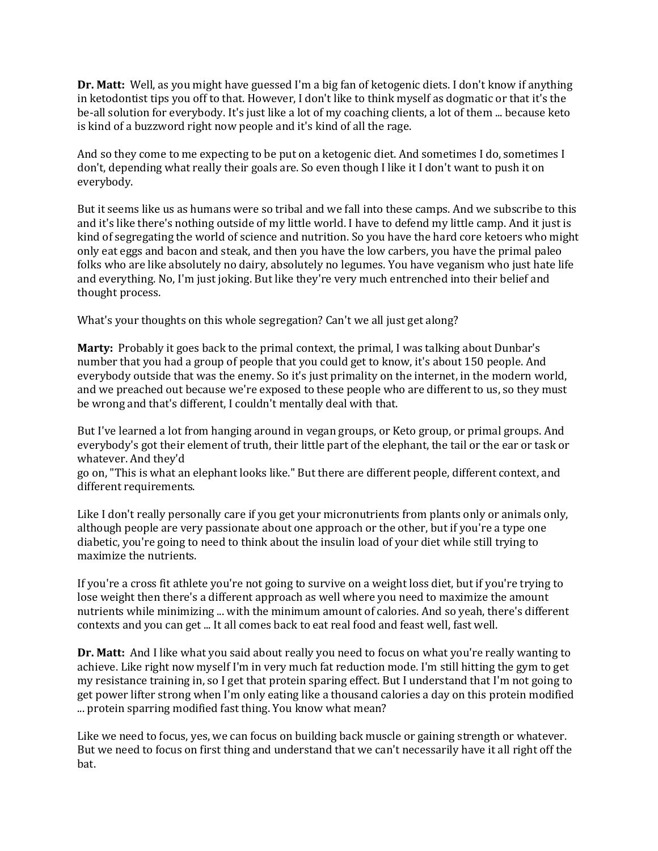**Dr. Matt:** Well, as you might have guessed I'm a big fan of ketogenic diets. I don't know if anything in ketodontist tips you off to that. However, I don't like to think myself as dogmatic or that it's the be-all solution for everybody. It's just like a lot of my coaching clients, a lot of them ... because keto is kind of a buzzword right now people and it's kind of all the rage.

And so they come to me expecting to be put on a ketogenic diet. And sometimes I do, sometimes I don't, depending what really their goals are. So even though I like it I don't want to push it on everybody.

But it seems like us as humans were so tribal and we fall into these camps. And we subscribe to this and it's like there's nothing outside of my little world. I have to defend my little camp. And it just is kind of segregating the world of science and nutrition. So you have the hard core ketoers who might only eat eggs and bacon and steak, and then you have the low carbers, you have the primal paleo folks who are like absolutely no dairy, absolutely no legumes. You have veganism who just hate life and everything. No, I'm just joking. But like they're very much entrenched into their belief and thought process.

What's your thoughts on this whole segregation? Can't we all just get along?

**Marty:** Probably it goes back to the primal context, the primal, I was talking about Dunbar's number that you had a group of people that you could get to know, it's about 150 people. And everybody outside that was the enemy. So it's just primality on the internet, in the modern world, and we preached out because we're exposed to these people who are different to us, so they must be wrong and that's different, I couldn't mentally deal with that.

But I've learned a lot from hanging around in vegan groups, or Keto group, or primal groups. And everybody's got their element of truth, their little part of the elephant, the tail or the ear or task or whatever. And they'd

go on, "This is what an elephant looks like." But there are different people, different context, and different requirements.

Like I don't really personally care if you get your micronutrients from plants only or animals only, although people are very passionate about one approach or the other, but if you're a type one diabetic, you're going to need to think about the insulin load of your diet while still trying to maximize the nutrients.

If you're a cross fit athlete you're not going to survive on a weight loss diet, but if you're trying to lose weight then there's a different approach as well where you need to maximize the amount nutrients while minimizing ... with the minimum amount of calories. And so yeah, there's different contexts and you can get ... It all comes back to eat real food and feast well, fast well.

**Dr. Matt:** And I like what you said about really you need to focus on what you're really wanting to achieve. Like right now myself I'm in very much fat reduction mode. I'm still hitting the gym to get my resistance training in, so I get that protein sparing effect. But I understand that I'm not going to get power lifter strong when I'm only eating like a thousand calories a day on this protein modified ... protein sparring modified fast thing. You know what mean?

Like we need to focus, yes, we can focus on building back muscle or gaining strength or whatever. But we need to focus on first thing and understand that we can't necessarily have it all right off the bat.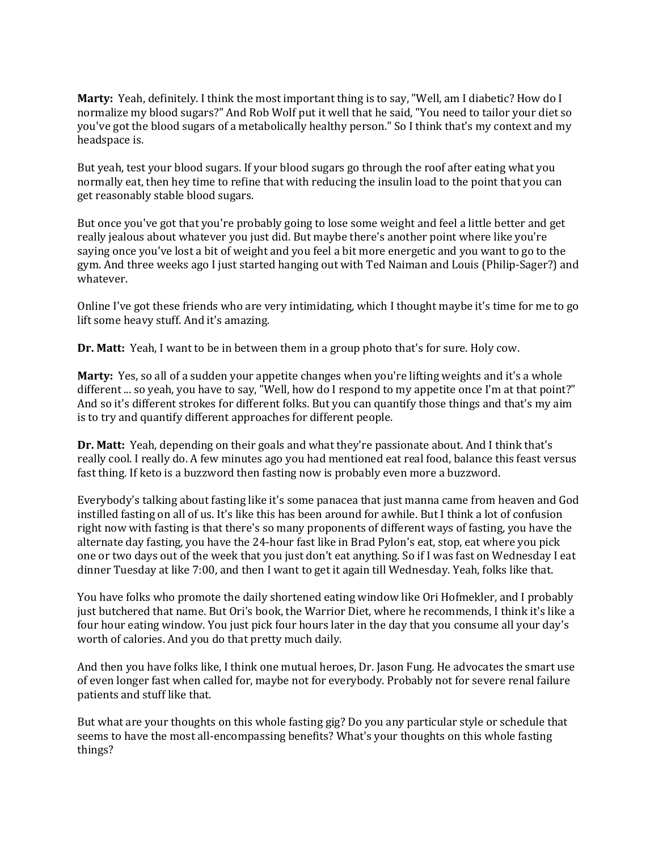**Marty:** Yeah, definitely. I think the most important thing is to say, "Well, am I diabetic? How do I normalize my blood sugars?" And Rob Wolf put it well that he said, "You need to tailor your diet so you've got the blood sugars of a metabolically healthy person." So I think that's my context and my headspace is.

But yeah, test your blood sugars. If your blood sugars go through the roof after eating what you normally eat, then hey time to refine that with reducing the insulin load to the point that you can get reasonably stable blood sugars.

But once you've got that you're probably going to lose some weight and feel a little better and get really jealous about whatever you just did. But maybe there's another point where like you're saying once you've lost a bit of weight and you feel a bit more energetic and you want to go to the gym. And three weeks ago I just started hanging out with Ted Naiman and Louis (Philip-Sager?) and whatever.

Online I've got these friends who are very intimidating, which I thought maybe it's time for me to go lift some heavy stuff. And it's amazing.

**Dr. Matt:** Yeah, I want to be in between them in a group photo that's for sure. Holy cow.

**Marty:** Yes, so all of a sudden your appetite changes when you're lifting weights and it's a whole different ... so yeah, you have to say, "Well, how do I respond to my appetite once I'm at that point?" And so it's different strokes for different folks. But you can quantify those things and that's my aim is to try and quantify different approaches for different people.

**Dr. Matt:** Yeah, depending on their goals and what they're passionate about. And I think that's really cool. I really do. A few minutes ago you had mentioned eat real food, balance this feast versus fast thing. If keto is a buzzword then fasting now is probably even more a buzzword.

Everybody's talking about fasting like it's some panacea that just manna came from heaven and God instilled fasting on all of us. It's like this has been around for awhile. But I think a lot of confusion right now with fasting is that there's so many proponents of different ways of fasting, you have the alternate day fasting, you have the 24-hour fast like in Brad Pylon's eat, stop, eat where you pick one or two days out of the week that you just don't eat anything. So if I was fast on Wednesday I eat dinner Tuesday at like 7:00, and then I want to get it again till Wednesday. Yeah, folks like that.

You have folks who promote the daily shortened eating window like Ori Hofmekler, and I probably just butchered that name. But Ori's book, the Warrior Diet, where he recommends, I think it's like a four hour eating window. You just pick four hours later in the day that you consume all your day's worth of calories. And you do that pretty much daily.

And then you have folks like, I think one mutual heroes, Dr. Jason Fung. He advocates the smart use of even longer fast when called for, maybe not for everybody. Probably not for severe renal failure patients and stuff like that.

But what are your thoughts on this whole fasting gig? Do you any particular style or schedule that seems to have the most all-encompassing benefits? What's your thoughts on this whole fasting things?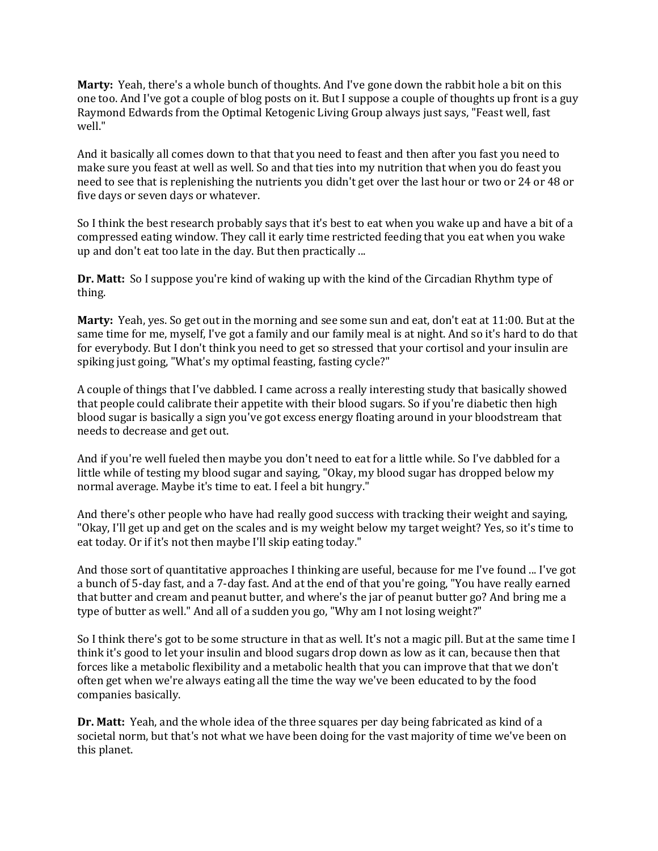**Marty:** Yeah, there's a whole bunch of thoughts. And I've gone down the rabbit hole a bit on this one too. And I've got a couple of blog posts on it. But I suppose a couple of thoughts up front is a guy Raymond Edwards from the Optimal Ketogenic Living Group always just says, "Feast well, fast well."

And it basically all comes down to that that you need to feast and then after you fast you need to make sure you feast at well as well. So and that ties into my nutrition that when you do feast you need to see that is replenishing the nutrients you didn't get over the last hour or two or 24 or 48 or five days or seven days or whatever.

So I think the best research probably says that it's best to eat when you wake up and have a bit of a compressed eating window. They call it early time restricted feeding that you eat when you wake up and don't eat too late in the day. But then practically ...

**Dr. Matt:** So I suppose you're kind of waking up with the kind of the Circadian Rhythm type of thing.

**Marty:** Yeah, yes. So get out in the morning and see some sun and eat, don't eat at 11:00. But at the same time for me, myself, I've got a family and our family meal is at night. And so it's hard to do that for everybody. But I don't think you need to get so stressed that your cortisol and your insulin are spiking just going, "What's my optimal feasting, fasting cycle?"

A couple of things that I've dabbled. I came across a really interesting study that basically showed that people could calibrate their appetite with their blood sugars. So if you're diabetic then high blood sugar is basically a sign you've got excess energy floating around in your bloodstream that needs to decrease and get out.

And if you're well fueled then maybe you don't need to eat for a little while. So I've dabbled for a little while of testing my blood sugar and saying, "Okay, my blood sugar has dropped below my normal average. Maybe it's time to eat. I feel a bit hungry."

And there's other people who have had really good success with tracking their weight and saying, "Okay, I'll get up and get on the scales and is my weight below my target weight? Yes, so it's time to eat today. Or if it's not then maybe I'll skip eating today."

And those sort of quantitative approaches I thinking are useful, because for me I've found ... I've got a bunch of 5-day fast, and a 7-day fast. And at the end of that you're going, "You have really earned that butter and cream and peanut butter, and where's the jar of peanut butter go? And bring me a type of butter as well." And all of a sudden you go, "Why am I not losing weight?"

So I think there's got to be some structure in that as well. It's not a magic pill. But at the same time I think it's good to let your insulin and blood sugars drop down as low as it can, because then that forces like a metabolic flexibility and a metabolic health that you can improve that that we don't often get when we're always eating all the time the way we've been educated to by the food companies basically.

**Dr. Matt:** Yeah, and the whole idea of the three squares per day being fabricated as kind of a societal norm, but that's not what we have been doing for the vast majority of time we've been on this planet.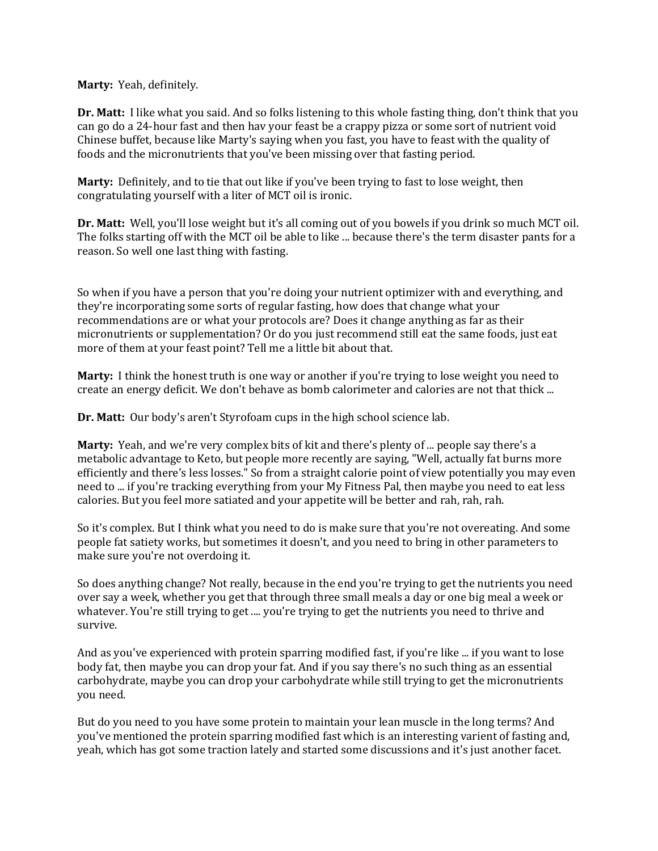**Marty:** Yeah, definitely.

**Dr. Matt:** I like what you said. And so folks listening to this whole fasting thing, don't think that you can go do a 24-hour fast and then hav your feast be a crappy pizza or some sort of nutrient void Chinese buffet, because like Marty's saying when you fast, you have to feast with the quality of foods and the micronutrients that you've been missing over that fasting period.

**Marty:** Definitely, and to tie that out like if you've been trying to fast to lose weight, then congratulating yourself with a liter of MCT oil is ironic.

**Dr. Matt:** Well, you'll lose weight but it's all coming out of you bowels if you drink so much MCT oil. The folks starting off with the MCT oil be able to like ... because there's the term disaster pants for a reason. So well one last thing with fasting.

So when if you have a person that you're doing your nutrient optimizer with and everything, and they're incorporating some sorts of regular fasting, how does that change what your recommendations are or what your protocols are? Does it change anything as far as their micronutrients or supplementation? Or do you just recommend still eat the same foods, just eat more of them at your feast point? Tell me a little bit about that.

**Marty:** I think the honest truth is one way or another if you're trying to lose weight you need to create an energy deficit. We don't behave as bomb calorimeter and calories are not that thick ...

**Dr. Matt:** Our body's aren't Styrofoam cups in the high school science lab.

**Marty:** Yeah, and we're very complex bits of kit and there's plenty of ... people say there's a metabolic advantage to Keto, but people more recently are saying, "Well, actually fat burns more efficiently and there's less losses." So from a straight calorie point of view potentially you may even need to ... if you're tracking everything from your My Fitness Pal, then maybe you need to eat less calories. But you feel more satiated and your appetite will be better and rah, rah, rah.

So it's complex. But I think what you need to do is make sure that you're not overeating. And some people fat satiety works, but sometimes it doesn't, and you need to bring in other parameters to make sure you're not overdoing it.

So does anything change? Not really, because in the end you're trying to get the nutrients you need over say a week, whether you get that through three small meals a day or one big meal a week or whatever. You're still trying to get .... you're trying to get the nutrients you need to thrive and survive.

And as you've experienced with protein sparring modified fast, if you're like ... if you want to lose body fat, then maybe you can drop your fat. And if you say there's no such thing as an essential carbohydrate, maybe you can drop your carbohydrate while still trying to get the micronutrients you need.

But do you need to you have some protein to maintain your lean muscle in the long terms? And you've mentioned the protein sparring modified fast which is an interesting varient of fasting and, yeah, which has got some traction lately and started some discussions and it's just another facet.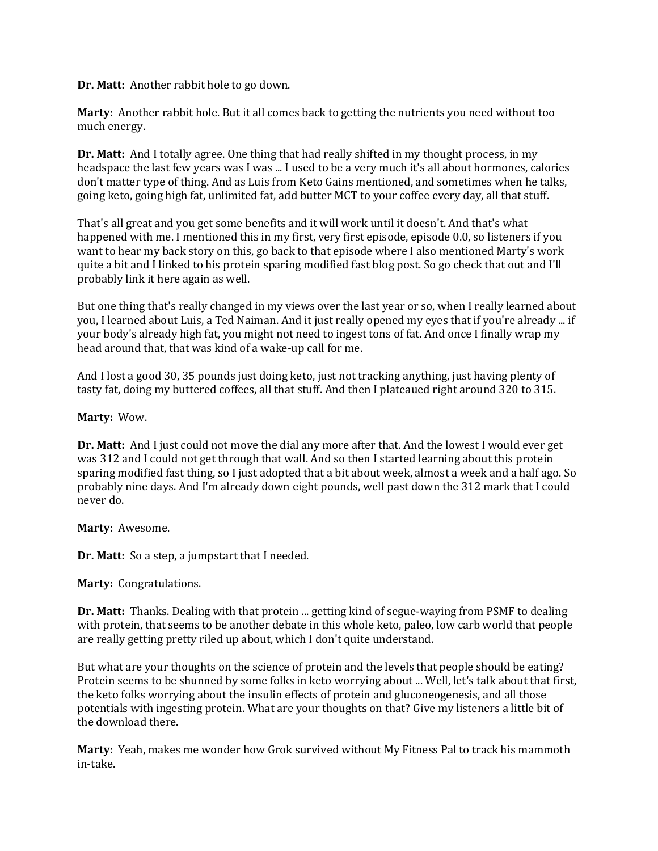**Dr. Matt:** Another rabbit hole to go down.

**Marty:** Another rabbit hole. But it all comes back to getting the nutrients you need without too much energy.

**Dr. Matt:** And I totally agree. One thing that had really shifted in my thought process, in my headspace the last few years was I was ... I used to be a very much it's all about hormones, calories don't matter type of thing. And as Luis from Keto Gains mentioned, and sometimes when he talks, going keto, going high fat, unlimited fat, add butter MCT to your coffee every day, all that stuff.

That's all great and you get some benefits and it will work until it doesn't. And that's what happened with me. I mentioned this in my first, very first episode, episode 0.0, so listeners if you want to hear my back story on this, go back to that episode where I also mentioned Marty's work quite a bit and I linked to his protein sparing modified fast blog post. So go check that out and I'll probably link it here again as well.

But one thing that's really changed in my views over the last year or so, when I really learned about you, I learned about Luis, a Ted Naiman. And it just really opened my eyes that if you're already ... if your body's already high fat, you might not need to ingest tons of fat. And once I finally wrap my head around that, that was kind of a wake-up call for me.

And I lost a good 30, 35 pounds just doing keto, just not tracking anything, just having plenty of tasty fat, doing my buttered coffees, all that stuff. And then I plateaued right around 320 to 315.

## **Marty:** Wow.

**Dr. Matt:** And I just could not move the dial any more after that. And the lowest I would ever get was 312 and I could not get through that wall. And so then I started learning about this protein sparing modified fast thing, so I just adopted that a bit about week, almost a week and a half ago. So probably nine days. And I'm already down eight pounds, well past down the 312 mark that I could never do.

#### **Marty:** Awesome.

**Dr. Matt:** So a step, a jumpstart that I needed.

#### **Marty:** Congratulations.

**Dr. Matt:** Thanks. Dealing with that protein ... getting kind of segue-waying from PSMF to dealing with protein, that seems to be another debate in this whole keto, paleo, low carb world that people are really getting pretty riled up about, which I don't quite understand.

But what are your thoughts on the science of protein and the levels that people should be eating? Protein seems to be shunned by some folks in keto worrying about ... Well, let's talk about that first, the keto folks worrying about the insulin effects of protein and gluconeogenesis, and all those potentials with ingesting protein. What are your thoughts on that? Give my listeners a little bit of the download there.

**Marty:** Yeah, makes me wonder how Grok survived without My Fitness Pal to track his mammoth in-take.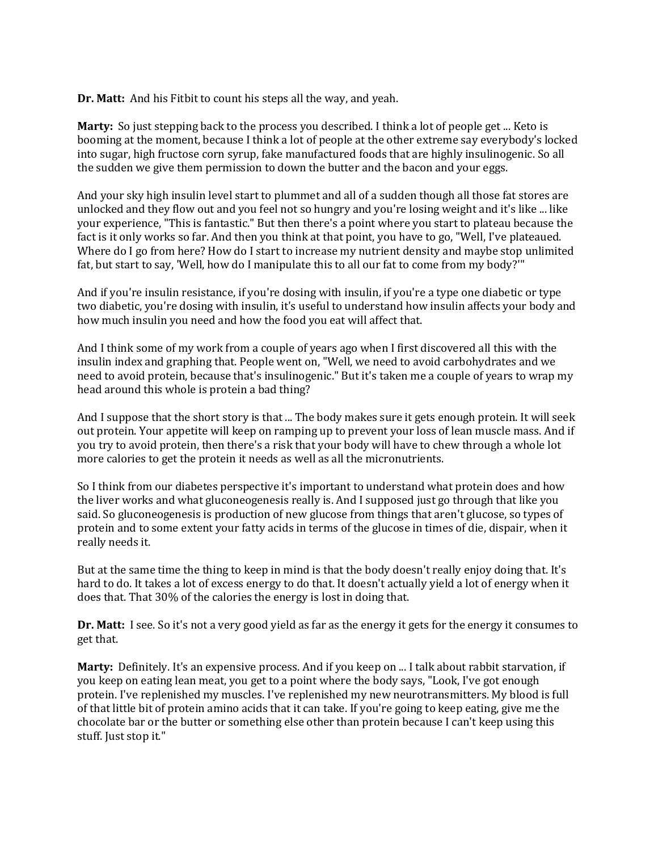**Dr. Matt:** And his Fitbit to count his steps all the way, and yeah.

**Marty:** So just stepping back to the process you described. I think a lot of people get ... Keto is booming at the moment, because I think a lot of people at the other extreme say everybody's locked into sugar, high fructose corn syrup, fake manufactured foods that are highly insulinogenic. So all the sudden we give them permission to down the butter and the bacon and your eggs.

And your sky high insulin level start to plummet and all of a sudden though all those fat stores are unlocked and they flow out and you feel not so hungry and you're losing weight and it's like ... like your experience, "This is fantastic." But then there's a point where you start to plateau because the fact is it only works so far. And then you think at that point, you have to go, "Well, I've plateaued. Where do I go from here? How do I start to increase my nutrient density and maybe stop unlimited fat, but start to say, 'Well, how do I manipulate this to all our fat to come from my body?'"

And if you're insulin resistance, if you're dosing with insulin, if you're a type one diabetic or type two diabetic, you're dosing with insulin, it's useful to understand how insulin affects your body and how much insulin you need and how the food you eat will affect that.

And I think some of my work from a couple of years ago when I first discovered all this with the insulin index and graphing that. People went on, "Well, we need to avoid carbohydrates and we need to avoid protein, because that's insulinogenic." But it's taken me a couple of years to wrap my head around this whole is protein a bad thing?

And I suppose that the short story is that ... The body makes sure it gets enough protein. It will seek out protein. Your appetite will keep on ramping up to prevent your loss of lean muscle mass. And if you try to avoid protein, then there's a risk that your body will have to chew through a whole lot more calories to get the protein it needs as well as all the micronutrients.

So I think from our diabetes perspective it's important to understand what protein does and how the liver works and what gluconeogenesis really is. And I supposed just go through that like you said. So gluconeogenesis is production of new glucose from things that aren't glucose, so types of protein and to some extent your fatty acids in terms of the glucose in times of die, dispair, when it really needs it.

But at the same time the thing to keep in mind is that the body doesn't really enjoy doing that. It's hard to do. It takes a lot of excess energy to do that. It doesn't actually yield a lot of energy when it does that. That 30% of the calories the energy is lost in doing that.

**Dr. Matt:** I see. So it's not a very good yield as far as the energy it gets for the energy it consumes to get that.

**Marty:** Definitely. It's an expensive process. And if you keep on ... I talk about rabbit starvation, if you keep on eating lean meat, you get to a point where the body says, "Look, I've got enough protein. I've replenished my muscles. I've replenished my new neurotransmitters. My blood is full of that little bit of protein amino acids that it can take. If you're going to keep eating, give me the chocolate bar or the butter or something else other than protein because I can't keep using this stuff. Just stop it."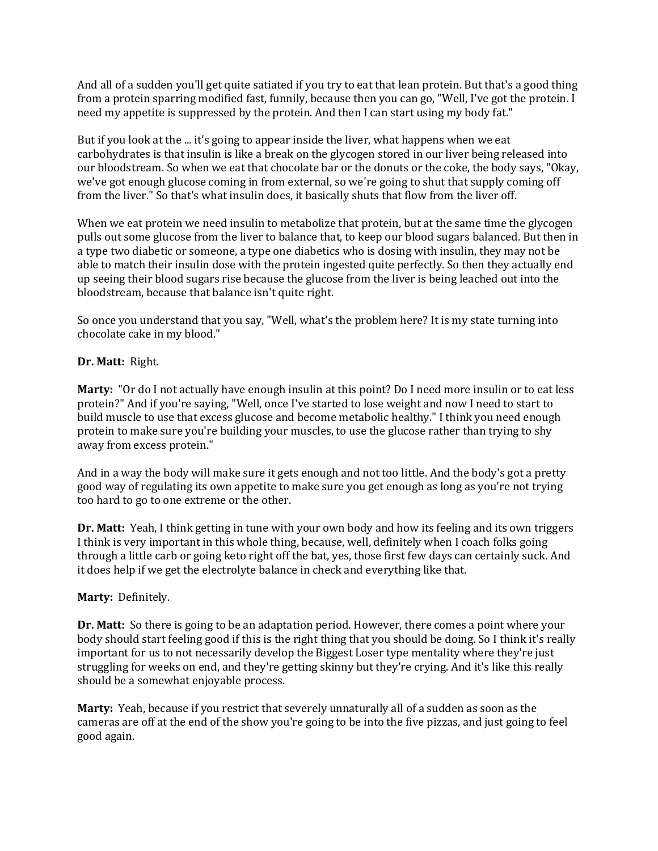And all of a sudden you'll get quite satiated if you try to eat that lean protein. But that's a good thing from a protein sparring modified fast, funnily, because then you can go, "Well, I've got the protein. I need my appetite is suppressed by the protein. And then I can start using my body fat."

But if you look at the ... it's going to appear inside the liver, what happens when we eat carbohydrates is that insulin is like a break on the glycogen stored in our liver being released into our bloodstream. So when we eat that chocolate bar or the donuts or the coke, the body says, "Okay, we've got enough glucose coming in from external, so we're going to shut that supply coming off from the liver." So that's what insulin does, it basically shuts that flow from the liver off.

When we eat protein we need insulin to metabolize that protein, but at the same time the glycogen pulls out some glucose from the liver to balance that, to keep our blood sugars balanced. But then in a type two diabetic or someone, a type one diabetics who is dosing with insulin, they may not be able to match their insulin dose with the protein ingested quite perfectly. So then they actually end up seeing their blood sugars rise because the glucose from the liver is being leached out into the bloodstream, because that balance isn't quite right.

So once you understand that you say, "Well, what's the problem here? It is my state turning into chocolate cake in my blood."

# **Dr. Matt:** Right.

**Marty:** "Or do I not actually have enough insulin at this point? Do I need more insulin or to eat less protein?" And if you're saying, "Well, once I've started to lose weight and now I need to start to build muscle to use that excess glucose and become metabolic healthy." I think you need enough protein to make sure you're building your muscles, to use the glucose rather than trying to shy away from excess protein."

And in a way the body will make sure it gets enough and not too little. And the body's got a pretty good way of regulating its own appetite to make sure you get enough as long as you're not trying too hard to go to one extreme or the other.

**Dr. Matt:** Yeah, I think getting in tune with your own body and how its feeling and its own triggers I think is very important in this whole thing, because, well, definitely when I coach folks going through a little carb or going keto right off the bat, yes, those first few days can certainly suck. And it does help if we get the electrolyte balance in check and everything like that.

# **Marty:** Definitely.

**Dr. Matt:** So there is going to be an adaptation period. However, there comes a point where your body should start feeling good if this is the right thing that you should be doing. So I think it's really important for us to not necessarily develop the Biggest Loser type mentality where they're just struggling for weeks on end, and they're getting skinny but they're crying. And it's like this really should be a somewhat enjoyable process.

**Marty:** Yeah, because if you restrict that severely unnaturally all of a sudden as soon as the cameras are off at the end of the show you're going to be into the five pizzas, and just going to feel good again.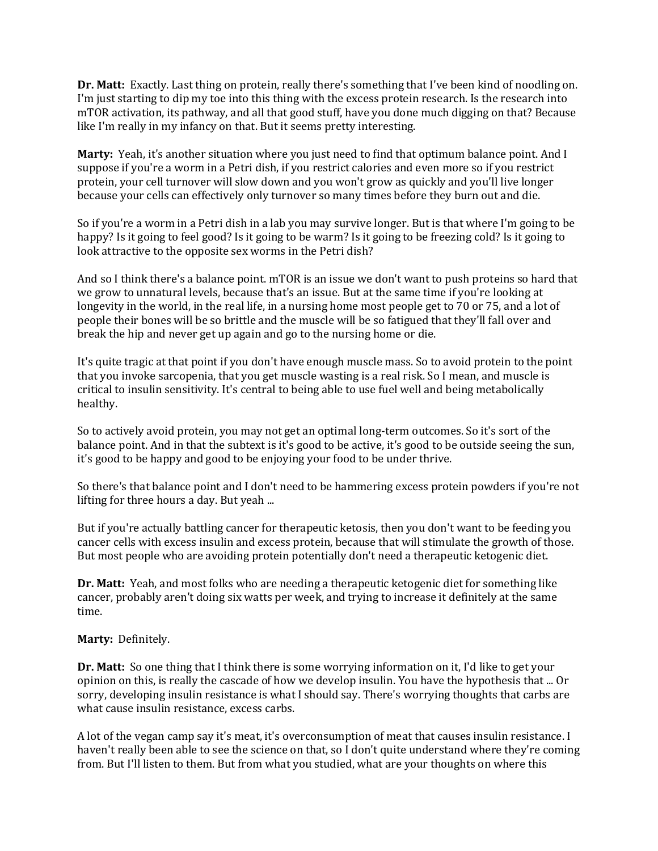**Dr. Matt:** Exactly. Last thing on protein, really there's something that I've been kind of noodling on. I'm just starting to dip my toe into this thing with the excess protein research. Is the research into mTOR activation, its pathway, and all that good stuff, have you done much digging on that? Because like I'm really in my infancy on that. But it seems pretty interesting.

**Marty:** Yeah, it's another situation where you just need to find that optimum balance point. And I suppose if you're a worm in a Petri dish, if you restrict calories and even more so if you restrict protein, your cell turnover will slow down and you won't grow as quickly and you'll live longer because your cells can effectively only turnover so many times before they burn out and die.

So if you're a worm in a Petri dish in a lab you may survive longer. But is that where I'm going to be happy? Is it going to feel good? Is it going to be warm? Is it going to be freezing cold? Is it going to look attractive to the opposite sex worms in the Petri dish?

And so I think there's a balance point. mTOR is an issue we don't want to push proteins so hard that we grow to unnatural levels, because that's an issue. But at the same time if you're looking at longevity in the world, in the real life, in a nursing home most people get to 70 or 75, and a lot of people their bones will be so brittle and the muscle will be so fatigued that they'll fall over and break the hip and never get up again and go to the nursing home or die.

It's quite tragic at that point if you don't have enough muscle mass. So to avoid protein to the point that you invoke sarcopenia, that you get muscle wasting is a real risk. So I mean, and muscle is critical to insulin sensitivity. It's central to being able to use fuel well and being metabolically healthy.

So to actively avoid protein, you may not get an optimal long-term outcomes. So it's sort of the balance point. And in that the subtext is it's good to be active, it's good to be outside seeing the sun, it's good to be happy and good to be enjoying your food to be under thrive.

So there's that balance point and I don't need to be hammering excess protein powders if you're not lifting for three hours a day. But yeah ...

But if you're actually battling cancer for therapeutic ketosis, then you don't want to be feeding you cancer cells with excess insulin and excess protein, because that will stimulate the growth of those. But most people who are avoiding protein potentially don't need a therapeutic ketogenic diet.

**Dr. Matt:** Yeah, and most folks who are needing a therapeutic ketogenic diet for something like cancer, probably aren't doing six watts per week, and trying to increase it definitely at the same time.

#### **Marty:** Definitely.

**Dr. Matt:** So one thing that I think there is some worrying information on it, I'd like to get your opinion on this, is really the cascade of how we develop insulin. You have the hypothesis that ... Or sorry, developing insulin resistance is what I should say. There's worrying thoughts that carbs are what cause insulin resistance, excess carbs.

A lot of the vegan camp say it's meat, it's overconsumption of meat that causes insulin resistance. I haven't really been able to see the science on that, so I don't quite understand where they're coming from. But I'll listen to them. But from what you studied, what are your thoughts on where this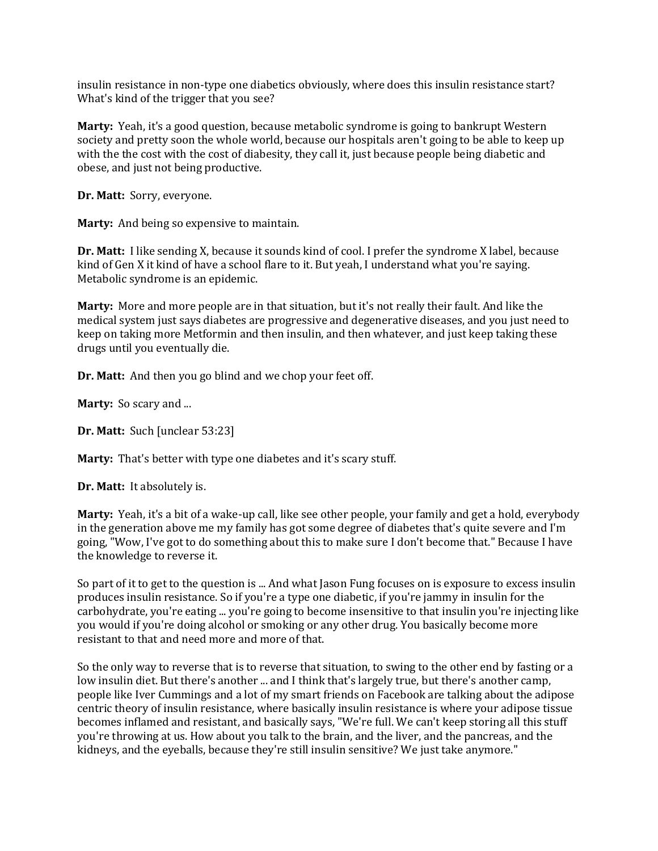insulin resistance in non-type one diabetics obviously, where does this insulin resistance start? What's kind of the trigger that you see?

**Marty:** Yeah, it's a good question, because metabolic syndrome is going to bankrupt Western society and pretty soon the whole world, because our hospitals aren't going to be able to keep up with the the cost with the cost of diabesity, they call it, just because people being diabetic and obese, and just not being productive.

**Dr. Matt:** Sorry, everyone.

**Marty:** And being so expensive to maintain.

**Dr. Matt:** I like sending X, because it sounds kind of cool. I prefer the syndrome X label, because kind of Gen X it kind of have a school flare to it. But yeah, I understand what you're saying. Metabolic syndrome is an epidemic.

**Marty:** More and more people are in that situation, but it's not really their fault. And like the medical system just says diabetes are progressive and degenerative diseases, and you just need to keep on taking more Metformin and then insulin, and then whatever, and just keep taking these drugs until you eventually die.

**Dr. Matt:** And then you go blind and we chop your feet off.

**Marty:** So scary and ...

**Dr. Matt:** Such [unclear 53:23]

**Marty:** That's better with type one diabetes and it's scary stuff.

**Dr. Matt:** It absolutely is.

**Marty:** Yeah, it's a bit of a wake-up call, like see other people, your family and get a hold, everybody in the generation above me my family has got some degree of diabetes that's quite severe and I'm going, "Wow, I've got to do something about this to make sure I don't become that." Because I have the knowledge to reverse it.

So part of it to get to the question is ... And what Jason Fung focuses on is exposure to excess insulin produces insulin resistance. So if you're a type one diabetic, if you're jammy in insulin for the carbohydrate, you're eating ... you're going to become insensitive to that insulin you're injecting like you would if you're doing alcohol or smoking or any other drug. You basically become more resistant to that and need more and more of that.

So the only way to reverse that is to reverse that situation, to swing to the other end by fasting or a low insulin diet. But there's another ... and I think that's largely true, but there's another camp, people like Iver Cummings and a lot of my smart friends on Facebook are talking about the adipose centric theory of insulin resistance, where basically insulin resistance is where your adipose tissue becomes inflamed and resistant, and basically says, "We're full. We can't keep storing all this stuff you're throwing at us. How about you talk to the brain, and the liver, and the pancreas, and the kidneys, and the eyeballs, because they're still insulin sensitive? We just take anymore."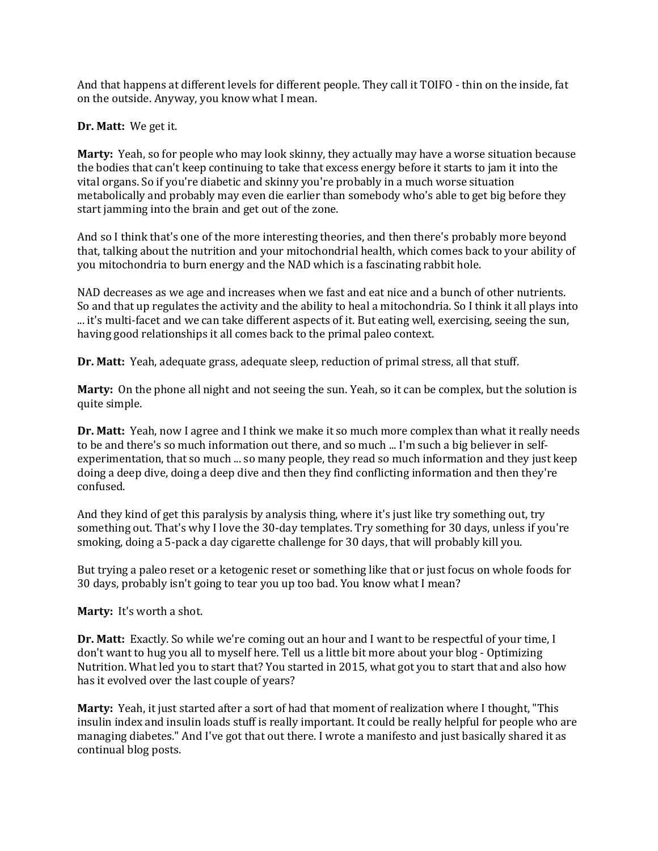And that happens at different levels for different people. They call it TOIFO - thin on the inside, fat on the outside. Anyway, you know what I mean.

## **Dr. Matt:** We get it.

**Marty:** Yeah, so for people who may look skinny, they actually may have a worse situation because the bodies that can't keep continuing to take that excess energy before it starts to jam it into the vital organs. So if you're diabetic and skinny you're probably in a much worse situation metabolically and probably may even die earlier than somebody who's able to get big before they start jamming into the brain and get out of the zone.

And so I think that's one of the more interesting theories, and then there's probably more beyond that, talking about the nutrition and your mitochondrial health, which comes back to your ability of you mitochondria to burn energy and the NAD which is a fascinating rabbit hole.

NAD decreases as we age and increases when we fast and eat nice and a bunch of other nutrients. So and that up regulates the activity and the ability to heal a mitochondria. So I think it all plays into ... it's multi-facet and we can take different aspects of it. But eating well, exercising, seeing the sun, having good relationships it all comes back to the primal paleo context.

**Dr. Matt:** Yeah, adequate grass, adequate sleep, reduction of primal stress, all that stuff.

**Marty:** On the phone all night and not seeing the sun. Yeah, so it can be complex, but the solution is quite simple.

**Dr. Matt:** Yeah, now I agree and I think we make it so much more complex than what it really needs to be and there's so much information out there, and so much ... I'm such a big believer in selfexperimentation, that so much ... so many people, they read so much information and they just keep doing a deep dive, doing a deep dive and then they find conflicting information and then they're confused.

And they kind of get this paralysis by analysis thing, where it's just like try something out, try something out. That's why I love the 30-day templates. Try something for 30 days, unless if you're smoking, doing a 5-pack a day cigarette challenge for 30 days, that will probably kill you.

But trying a paleo reset or a ketogenic reset or something like that or just focus on whole foods for 30 days, probably isn't going to tear you up too bad. You know what I mean?

**Marty:** It's worth a shot.

**Dr. Matt:** Exactly. So while we're coming out an hour and I want to be respectful of your time, I don't want to hug you all to myself here. Tell us a little bit more about your blog - Optimizing Nutrition. What led you to start that? You started in 2015, what got you to start that and also how has it evolved over the last couple of years?

**Marty:** Yeah, it just started after a sort of had that moment of realization where I thought, "This insulin index and insulin loads stuff is really important. It could be really helpful for people who are managing diabetes." And I've got that out there. I wrote a manifesto and just basically shared it as continual blog posts.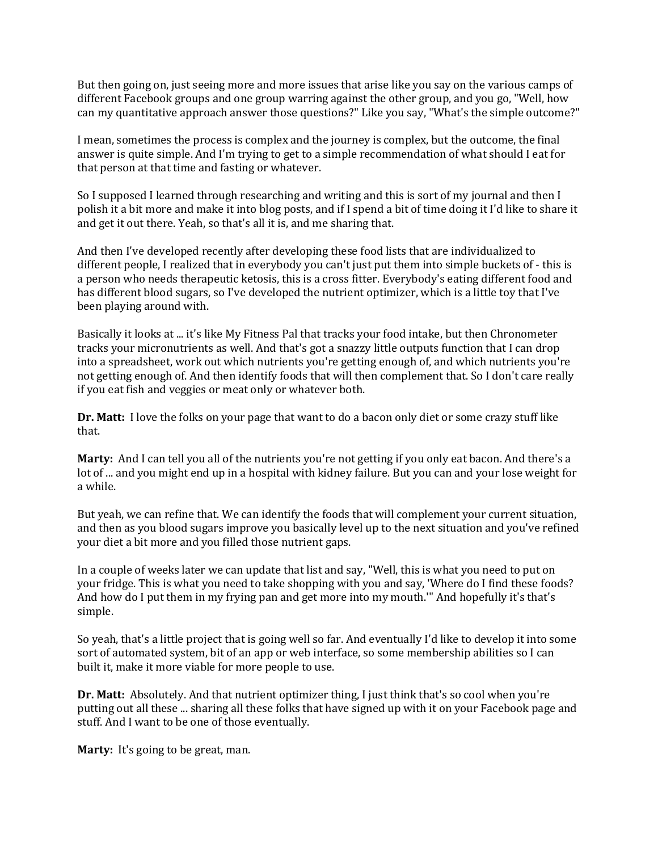But then going on, just seeing more and more issues that arise like you say on the various camps of different Facebook groups and one group warring against the other group, and you go, "Well, how can my quantitative approach answer those questions?" Like you say, "What's the simple outcome?"

I mean, sometimes the process is complex and the journey is complex, but the outcome, the final answer is quite simple. And I'm trying to get to a simple recommendation of what should I eat for that person at that time and fasting or whatever.

So I supposed I learned through researching and writing and this is sort of my journal and then I polish it a bit more and make it into blog posts, and if I spend a bit of time doing it I'd like to share it and get it out there. Yeah, so that's all it is, and me sharing that.

And then I've developed recently after developing these food lists that are individualized to different people, I realized that in everybody you can't just put them into simple buckets of - this is a person who needs therapeutic ketosis, this is a cross fitter. Everybody's eating different food and has different blood sugars, so I've developed the nutrient optimizer, which is a little toy that I've been playing around with.

Basically it looks at ... it's like My Fitness Pal that tracks your food intake, but then Chronometer tracks your micronutrients as well. And that's got a snazzy little outputs function that I can drop into a spreadsheet, work out which nutrients you're getting enough of, and which nutrients you're not getting enough of. And then identify foods that will then complement that. So I don't care really if you eat fish and veggies or meat only or whatever both.

**Dr. Matt:** I love the folks on your page that want to do a bacon only diet or some crazy stuff like that.

**Marty:** And I can tell you all of the nutrients you're not getting if you only eat bacon. And there's a lot of ... and you might end up in a hospital with kidney failure. But you can and your lose weight for a while.

But yeah, we can refine that. We can identify the foods that will complement your current situation, and then as you blood sugars improve you basically level up to the next situation and you've refined your diet a bit more and you filled those nutrient gaps.

In a couple of weeks later we can update that list and say, "Well, this is what you need to put on your fridge. This is what you need to take shopping with you and say, 'Where do I find these foods? And how do I put them in my frying pan and get more into my mouth.'" And hopefully it's that's simple.

So yeah, that's a little project that is going well so far. And eventually I'd like to develop it into some sort of automated system, bit of an app or web interface, so some membership abilities so I can built it, make it more viable for more people to use.

**Dr. Matt:** Absolutely. And that nutrient optimizer thing, I just think that's so cool when you're putting out all these ... sharing all these folks that have signed up with it on your Facebook page and stuff. And I want to be one of those eventually.

**Marty:** It's going to be great, man.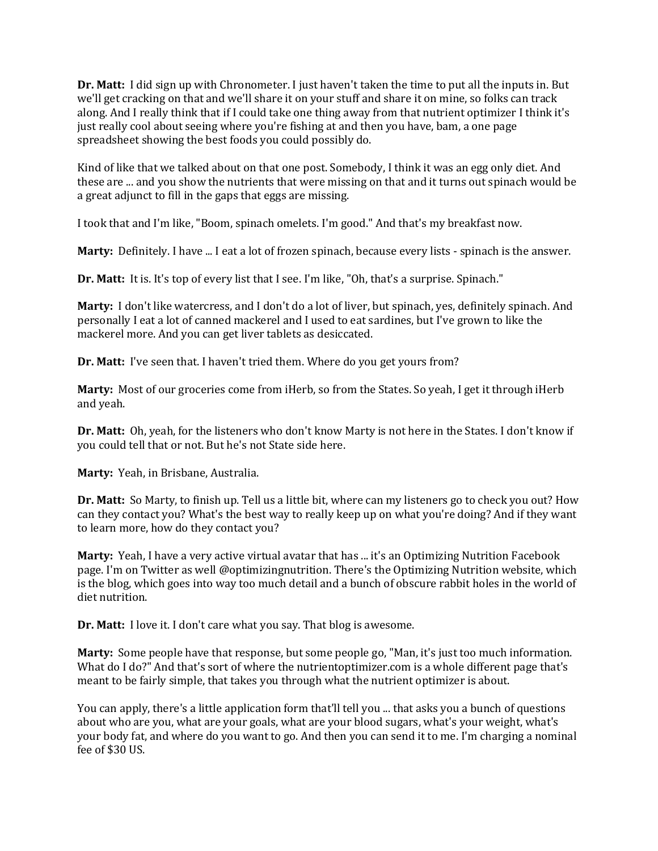**Dr. Matt:** I did sign up with Chronometer. I just haven't taken the time to put all the inputs in. But we'll get cracking on that and we'll share it on your stuff and share it on mine, so folks can track along. And I really think that if I could take one thing away from that nutrient optimizer I think it's just really cool about seeing where you're fishing at and then you have, bam, a one page spreadsheet showing the best foods you could possibly do.

Kind of like that we talked about on that one post. Somebody, I think it was an egg only diet. And these are ... and you show the nutrients that were missing on that and it turns out spinach would be a great adjunct to fill in the gaps that eggs are missing.

I took that and I'm like, "Boom, spinach omelets. I'm good." And that's my breakfast now.

**Marty:** Definitely. I have ... I eat a lot of frozen spinach, because every lists - spinach is the answer.

**Dr. Matt:** It is. It's top of every list that I see. I'm like, "Oh, that's a surprise. Spinach."

**Marty:** I don't like watercress, and I don't do a lot of liver, but spinach, yes, definitely spinach. And personally I eat a lot of canned mackerel and I used to eat sardines, but I've grown to like the mackerel more. And you can get liver tablets as desiccated.

**Dr. Matt:** I've seen that. I haven't tried them. Where do you get yours from?

**Marty:** Most of our groceries come from iHerb, so from the States. So yeah, I get it through iHerb and yeah.

**Dr. Matt:** Oh, yeah, for the listeners who don't know Marty is not here in the States. I don't know if you could tell that or not. But he's not State side here.

**Marty:** Yeah, in Brisbane, Australia.

**Dr. Matt:** So Marty, to finish up. Tell us a little bit, where can my listeners go to check you out? How can they contact you? What's the best way to really keep up on what you're doing? And if they want to learn more, how do they contact you?

**Marty:** Yeah, I have a very active virtual avatar that has ... it's an Optimizing Nutrition Facebook page. I'm on Twitter as well @optimizingnutrition. There's the Optimizing Nutrition website, which is the blog, which goes into way too much detail and a bunch of obscure rabbit holes in the world of diet nutrition.

**Dr. Matt:** I love it. I don't care what you say. That blog is awesome.

**Marty:** Some people have that response, but some people go, "Man, it's just too much information. What do I do?" And that's sort of where the nutrientoptimizer.com is a whole different page that's meant to be fairly simple, that takes you through what the nutrient optimizer is about.

You can apply, there's a little application form that'll tell you ... that asks you a bunch of questions about who are you, what are your goals, what are your blood sugars, what's your weight, what's your body fat, and where do you want to go. And then you can send it to me. I'm charging a nominal fee of \$30 US.